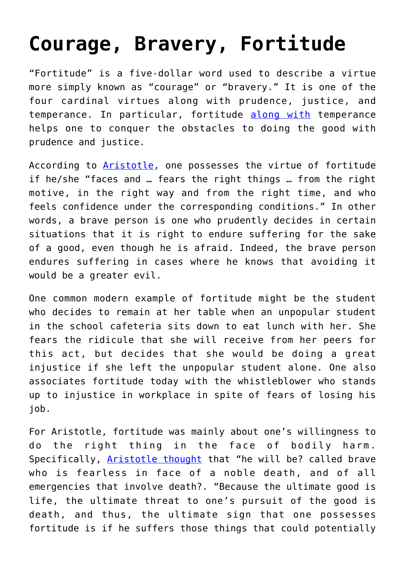## **[Courage, Bravery, Fortitude](https://intellectualtakeout.org/2015/09/courage-bravery-fortitude/)**

"Fortitude" is a five-dollar word used to describe a virtue more simply known as "courage" or "bravery." It is one of the four cardinal virtues along with prudence, justice, and temperance. In particular, fortitude [along with](http://www.newadvent.org/summa/3123.htm) temperance helps one to conquer the obstacles to doing the good with prudence and justice.

According to [Aristotle](http://classics.mit.edu/Aristotle/nicomachaen.3.iii.html), one possesses the virtue of fortitude if he/she "faces and … fears the right things … from the right motive, in the right way and from the right time, and who feels confidence under the corresponding conditions." In other words, a brave person is one who prudently decides in certain situations that it is right to endure suffering for the sake of a good, even though he is afraid. Indeed, the brave person endures suffering in cases where he knows that avoiding it would be a greater evil.

One common modern example of fortitude might be the student who decides to remain at her table when an unpopular student in the school cafeteria sits down to eat lunch with her. She fears the ridicule that she will receive from her peers for this act, but decides that she would be doing a great injustice if she left the unpopular student alone. One also associates fortitude today with the whistleblower who stands up to injustice in workplace in spite of fears of losing his job.

For Aristotle, fortitude was mainly about one's willingness to do the right thing in the face of bodily harm. Specifically, [Aristotle thought](http://classics.mit.edu/Aristotle/nicomachaen.3.iii.html) that "he will be? called brave who is fearless in face of a noble death, and of all emergencies that involve death?. "Because the ultimate good is life, the ultimate threat to one's pursuit of the good is death, and thus, the ultimate sign that one possesses fortitude is if he suffers those things that could potentially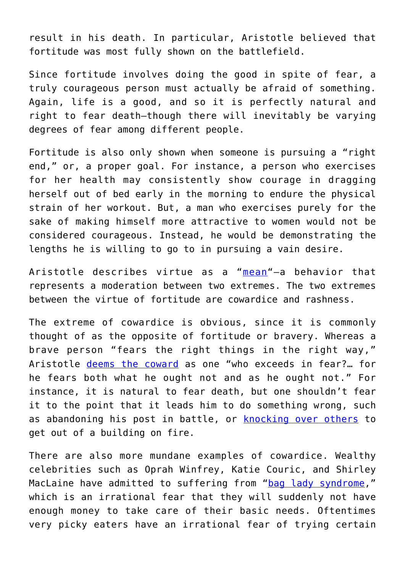result in his death. In particular, Aristotle believed that fortitude was most fully shown on the battlefield.

Since fortitude involves doing the good in spite of fear, a truly courageous person must actually be afraid of something. Again, life is a good, and so it is perfectly natural and right to fear death—though there will inevitably be varying degrees of fear among different people.

Fortitude is also only shown when someone is pursuing a "right end," or, a proper goal. For instance, a person who exercises for her health may consistently show courage in dragging herself out of bed early in the morning to endure the physical strain of her workout. But, a man who exercises purely for the sake of making himself more attractive to women would not be considered courageous. Instead, he would be demonstrating the lengths he is willing to go to in pursuing a vain desire.

Aristotle describes virtue as a "[mean](http://classics.mit.edu/Aristotle/nicomachaen.2.ii.html)"—a behavior that represents a moderation between two extremes. The two extremes between the virtue of fortitude are cowardice and rashness.

The extreme of cowardice is obvious, since it is commonly thought of as the opposite of fortitude or bravery. Whereas a brave person "fears the right things in the right way," Aristotle [deems the coward](http://classics.mit.edu/Aristotle/nicomachaen.3.iii.html) as one "who exceeds in fear?… for he fears both what he ought not and as he ought not." For instance, it is natural to fear death, but one shouldn't fear it to the point that it leads him to do something wrong, such as abandoning his post in battle, or [knocking over others](http://www.youtube.com/watch?v=ueh_1PeJhaQ) to get out of a building on fire.

There are also more mundane examples of cowardice. Wealthy celebrities such as Oprah Winfrey, Katie Couric, and Shirley MacLaine have admitted to suffering from ["bag lady syndrome](http://www.chatelaine.com/living/budgeting/bag-lady-baggage/)," which is an irrational fear that they will suddenly not have enough money to take care of their basic needs. Oftentimes very picky eaters have an irrational fear of trying certain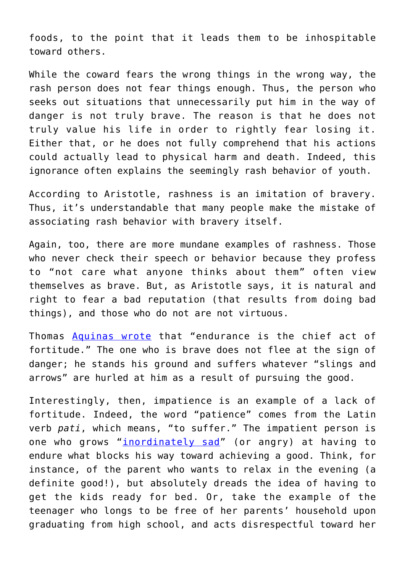foods, to the point that it leads them to be inhospitable toward others.

While the coward fears the wrong things in the wrong way, the rash person does not fear things enough. Thus, the person who seeks out situations that unnecessarily put him in the way of danger is not truly brave. The reason is that he does not truly value his life in order to rightly fear losing it. Either that, or he does not fully comprehend that his actions could actually lead to physical harm and death. Indeed, this ignorance often explains the seemingly rash behavior of youth.

According to Aristotle, rashness is an imitation of bravery. Thus, it's understandable that many people make the mistake of associating rash behavior with bravery itself.

Again, too, there are more mundane examples of rashness. Those who never check their speech or behavior because they profess to "not care what anyone thinks about them" often view themselves as brave. But, as Aristotle says, it is natural and right to fear a bad reputation (that results from doing bad things), and those who do not are not virtuous.

Thomas [Aquinas wrote](http://www.newadvent.org/summa/3123.htm#article6) that "endurance is the chief act of fortitude." The one who is brave does not flee at the sign of danger; he stands his ground and suffers whatever "slings and arrows" are hurled at him as a result of pursuing the good.

Interestingly, then, impatience is an example of a lack of fortitude. Indeed, the word "patience" comes from the Latin verb *pati*, which means, "to suffer." The impatient person is one who grows "*inordinately sad*" (or angry) at having to endure what blocks his way toward achieving a good. Think, for instance, of the parent who wants to relax in the evening (a definite good!), but absolutely dreads the idea of having to get the kids ready for bed. Or, take the example of the teenager who longs to be free of her parents' household upon graduating from high school, and acts disrespectful toward her